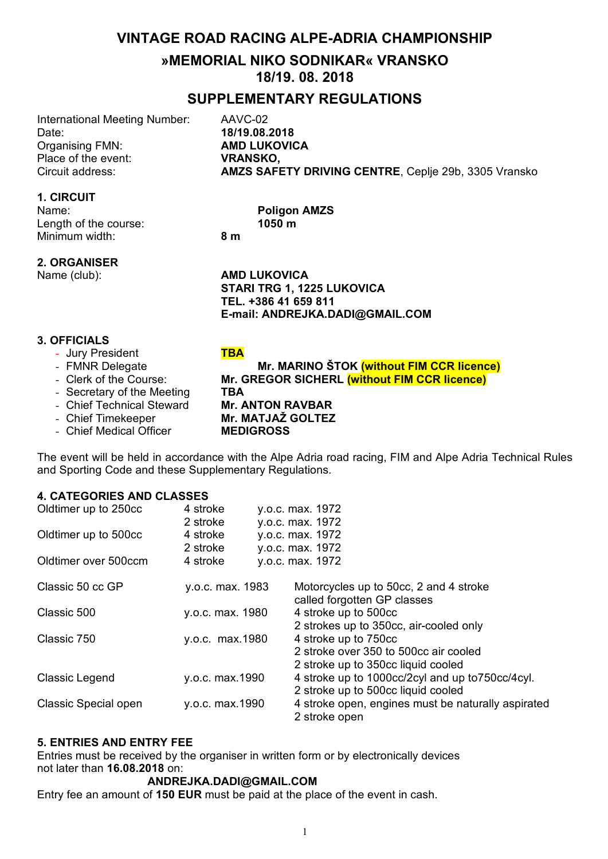# **VINTAGE ROAD RACING ALPE-ADRIA CHAMPIONSHIP**

# **»MEMORIAL NIKO SODNIKAR« VRANSKO 18/19. 08. 2018**

# **SUPPLEMENTARY REGULATIONS**

International Meeting Number: AAVC-02 Date: **18/19.08.2018** Organising FMN: **AMD LUKOVICA** Place of the event: **VRANSKO,**<br>Circuit address: **AM7S SAFI** 

**1. CIRCUIT**

Name: **Poligon AMZS**<br> **Poligon AMZS**<br> **Poligon AMZS** Length of the course: Minimum width: **8 m**

AMZS SAFETY DRIVING CENTRE, Ceplje 29b, 3305 Vransko

#### **2. ORGANISER**

Name (club): **AMD LUKOVICA STARI TRG 1, 1225 LUKOVICA TEL. +386 41 659 811 E-mail: ANDREJKA.DADI@GMAIL.COM**

#### **3. OFFICIALS**

- Jury President **TBA**
- FMNR Delegate **Mr. MARINO ŠTOK (without FIM CCR licence)**
- Clerk of the Course: **Mr. GREGOR SICHERL (without FIM CCR licence)**
- Secretary of the Meeting **TBA**
- Chief Technical Steward **Mr. ANTON RAVBAR**
- 
- Chief Medical Officer **MEDIGROSS**

- Chief Timekeeper **Mr. MATJAŽ GOLTEZ**

The event will be held in accordance with the Alpe Adria road racing, FIM and Alpe Adria Technical Rules and Sporting Code and these Supplementary Regulations.

#### **4. CATEGORIES AND CLASSES**

| Oldtimer up to 250cc        | 4 stroke         | y.o.c. max. 1972                                                      |
|-----------------------------|------------------|-----------------------------------------------------------------------|
|                             | 2 stroke         | y.o.c. max. 1972                                                      |
| Oldtimer up to 500cc        | 4 stroke         | y.o.c. max. 1972                                                      |
|                             | 2 stroke         | y.o.c. max. 1972                                                      |
| Oldtimer over 500ccm        | 4 stroke         | y.o.c. max. 1972                                                      |
| Classic 50 cc GP            | y.o.c. max. 1983 | Motorcycles up to 50cc, 2 and 4 stroke<br>called forgotten GP classes |
| Classic 500                 | y.o.c. max. 1980 | 4 stroke up to 500cc                                                  |
|                             |                  | 2 strokes up to 350cc, air-cooled only                                |
| Classic 750                 | y.o.c. max.1980  | 4 stroke up to 750cc                                                  |
|                             |                  | 2 stroke over 350 to 500cc air cooled                                 |
|                             |                  | 2 stroke up to 350cc liquid cooled                                    |
| Classic Legend              | y.o.c. max.1990  | 4 stroke up to 1000cc/2cyl and up to 750cc/4cyl.                      |
|                             |                  | 2 stroke up to 500cc liquid cooled                                    |
| <b>Classic Special open</b> | y.o.c. max.1990  | 4 stroke open, engines must be naturally aspirated                    |
|                             |                  | 2 stroke open                                                         |

#### **5. ENTRIES AND ENTRY FEE**

Entries must be received by the organiser in written form or by electronically devices not later than **16.08.2018** on:

#### **ANDREJKA.DADI@GMAIL.COM**

Entry fee an amount of **150 EUR** must be paid at the place of the event in cash.